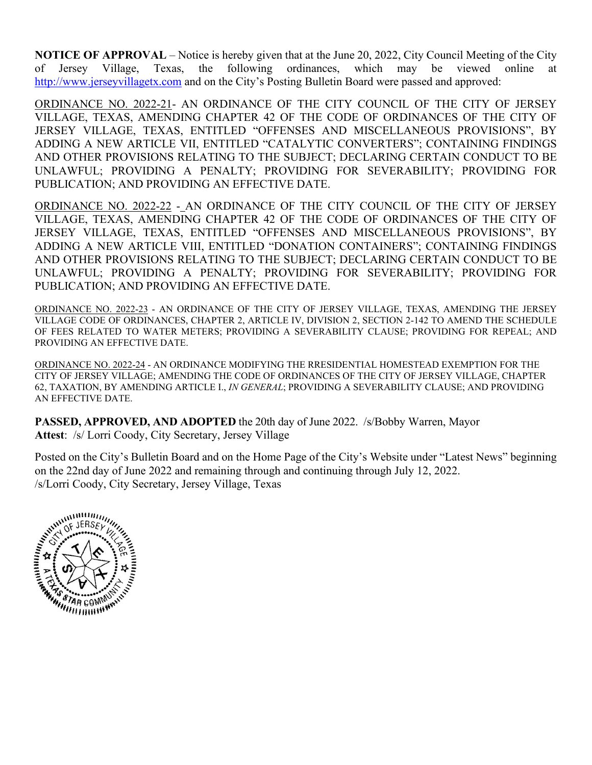**NOTICE OF APPROVAL** – Notice is hereby given that at the June 20, 2022, City Council Meeting of the City of Jersey Village, Texas, the following ordinances, which may be viewed online at [http://www.jerseyvillagetx.com](http://www.jerseyvillage.info/) and on the City's Posting Bulletin Board were passed and approved:

ORDINANCE NO. 2022-21- AN ORDINANCE OF THE CITY COUNCIL OF THE CITY OF JERSEY VILLAGE, TEXAS, AMENDING CHAPTER 42 OF THE CODE OF ORDINANCES OF THE CITY OF JERSEY VILLAGE, TEXAS, ENTITLED "OFFENSES AND MISCELLANEOUS PROVISIONS", BY ADDING A NEW ARTICLE VII, ENTITLED "CATALYTIC CONVERTERS"; CONTAINING FINDINGS AND OTHER PROVISIONS RELATING TO THE SUBJECT; DECLARING CERTAIN CONDUCT TO BE UNLAWFUL; PROVIDING A PENALTY; PROVIDING FOR SEVERABILITY; PROVIDING FOR PUBLICATION; AND PROVIDING AN EFFECTIVE DATE.

ORDINANCE NO. 2022-22 - AN ORDINANCE OF THE CITY COUNCIL OF THE CITY OF JERSEY VILLAGE, TEXAS, AMENDING CHAPTER 42 OF THE CODE OF ORDINANCES OF THE CITY OF JERSEY VILLAGE, TEXAS, ENTITLED "OFFENSES AND MISCELLANEOUS PROVISIONS", BY ADDING A NEW ARTICLE VIII, ENTITLED "DONATION CONTAINERS"; CONTAINING FINDINGS AND OTHER PROVISIONS RELATING TO THE SUBJECT; DECLARING CERTAIN CONDUCT TO BE UNLAWFUL; PROVIDING A PENALTY; PROVIDING FOR SEVERABILITY; PROVIDING FOR PUBLICATION; AND PROVIDING AN EFFECTIVE DATE.

ORDINANCE NO. 2022-23 - AN ORDINANCE OF THE CITY OF JERSEY VILLAGE, TEXAS, AMENDING THE JERSEY VILLAGE CODE OF ORDINANCES, CHAPTER 2, ARTICLE IV, DIVISION 2, SECTION 2-142 TO AMEND THE SCHEDULE OF FEES RELATED TO WATER METERS; PROVIDING A SEVERABILITY CLAUSE; PROVIDING FOR REPEAL; AND PROVIDING AN EFFECTIVE DATE.

ORDINANCE NO. 2022-24 - AN ORDINANCE MODIFYING THE RRESIDENTIAL HOMESTEAD EXEMPTION FOR THE CITY OF JERSEY VILLAGE; AMENDING THE CODE OF ORDINANCES OF THE CITY OF JERSEY VILLAGE, CHAPTER 62, TAXATION, BY AMENDING ARTICLE I., *IN GENERAL*; PROVIDING A SEVERABILITY CLAUSE; AND PROVIDING AN EFFECTIVE DATE.

**PASSED, APPROVED, AND ADOPTED** the 20th day of June 2022. /s/Bobby Warren, Mayor **Attest**: /s/ Lorri Coody, City Secretary, Jersey Village

Posted on the City's Bulletin Board and on the Home Page of the City's Website under "Latest News" beginning on the 22nd day of June 2022 and remaining through and continuing through July 12, 2022. /s/Lorri Coody, City Secretary, Jersey Village, Texas

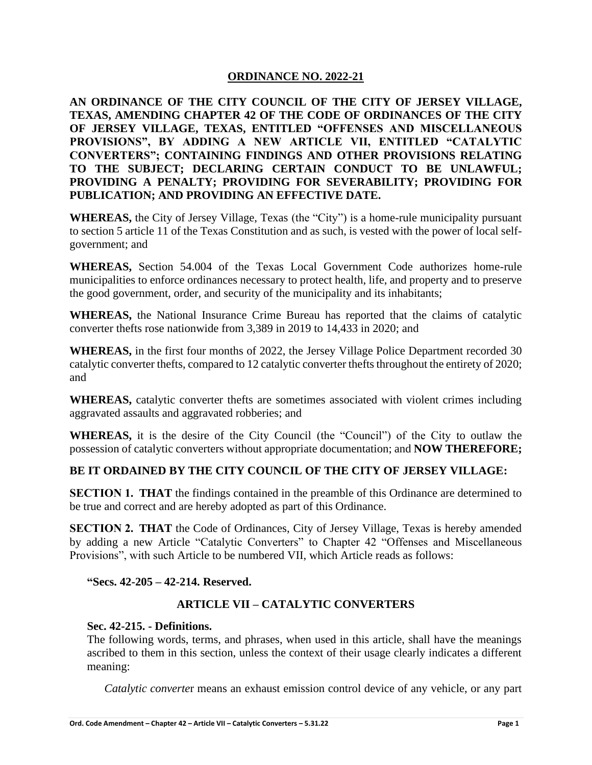**AN ORDINANCE OF THE CITY COUNCIL OF THE CITY OF JERSEY VILLAGE, TEXAS, AMENDING CHAPTER 42 OF THE CODE OF ORDINANCES OF THE CITY OF JERSEY VILLAGE, TEXAS, ENTITLED "OFFENSES AND MISCELLANEOUS PROVISIONS", BY ADDING A NEW ARTICLE VII, ENTITLED "CATALYTIC CONVERTERS"; CONTAINING FINDINGS AND OTHER PROVISIONS RELATING TO THE SUBJECT; DECLARING CERTAIN CONDUCT TO BE UNLAWFUL; PROVIDING A PENALTY; PROVIDING FOR SEVERABILITY; PROVIDING FOR PUBLICATION; AND PROVIDING AN EFFECTIVE DATE.**

**WHEREAS,** the City of Jersey Village, Texas (the "City") is a home-rule municipality pursuant to section 5 article 11 of the Texas Constitution and as such, is vested with the power of local selfgovernment; and

**WHEREAS,** Section 54.004 of the Texas Local Government Code authorizes home-rule municipalities to enforce ordinances necessary to protect health, life, and property and to preserve the good government, order, and security of the municipality and its inhabitants;

**WHEREAS,** the National Insurance Crime Bureau has reported that the claims of catalytic converter thefts rose nationwide from 3,389 in 2019 to 14,433 in 2020; and

**WHEREAS,** in the first four months of 2022, the Jersey Village Police Department recorded 30 catalytic converter thefts, compared to 12 catalytic converter thefts throughout the entirety of 2020; and

**WHEREAS,** catalytic converter thefts are sometimes associated with violent crimes including aggravated assaults and aggravated robberies; and

**WHEREAS,** it is the desire of the City Council (the "Council") of the City to outlaw the possession of catalytic converters without appropriate documentation; and **NOW THEREFORE;**

# **BE IT ORDAINED BY THE CITY COUNCIL OF THE CITY OF JERSEY VILLAGE:**

**SECTION 1. THAT** the findings contained in the preamble of this Ordinance are determined to be true and correct and are hereby adopted as part of this Ordinance.

**SECTION 2. THAT** the Code of Ordinances, City of Jersey Village, Texas is hereby amended by adding a new Article "Catalytic Converters" to Chapter 42 "Offenses and Miscellaneous Provisions", with such Article to be numbered VII, which Article reads as follows:

**"Secs. 42-205 – 42-214. Reserved.**

# **ARTICLE VII – CATALYTIC CONVERTERS**

### **Sec. 42-215. - Definitions.**

The following words, terms, and phrases, when used in this article, shall have the meanings ascribed to them in this section, unless the context of their usage clearly indicates a different meaning:

*Catalytic converte*r means an exhaust emission control device of any vehicle, or any part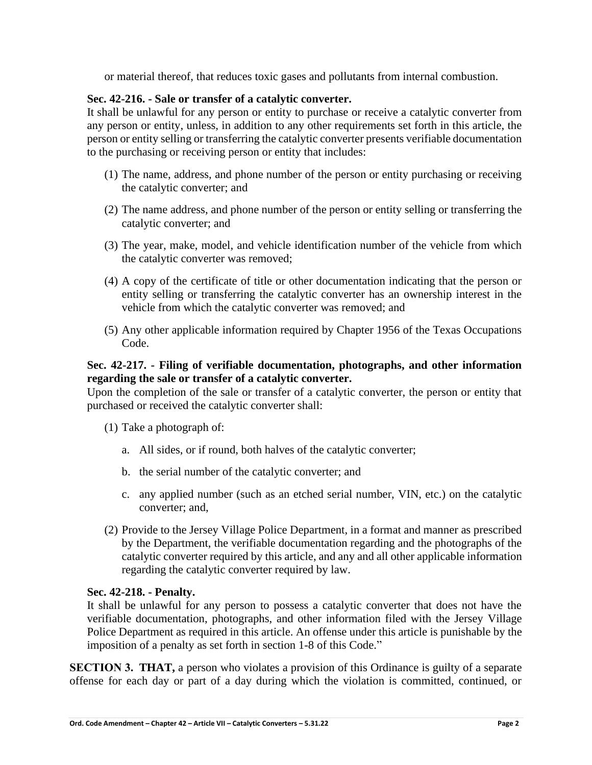or material thereof, that reduces toxic gases and pollutants from internal combustion.

### **Sec. 42-216. - Sale or transfer of a catalytic converter.**

It shall be unlawful for any person or entity to purchase or receive a catalytic converter from any person or entity, unless, in addition to any other requirements set forth in this article, the person or entity selling or transferring the catalytic converter presents verifiable documentation to the purchasing or receiving person or entity that includes:

- (1) The name, address, and phone number of the person or entity purchasing or receiving the catalytic converter; and
- (2) The name address, and phone number of the person or entity selling or transferring the catalytic converter; and
- (3) The year, make, model, and vehicle identification number of the vehicle from which the catalytic converter was removed;
- (4) A copy of the certificate of title or other documentation indicating that the person or entity selling or transferring the catalytic converter has an ownership interest in the vehicle from which the catalytic converter was removed; and
- (5) Any other applicable information required by Chapter 1956 of the Texas Occupations Code.

### **Sec. 42-217. - Filing of verifiable documentation, photographs, and other information regarding the sale or transfer of a catalytic converter.**

Upon the completion of the sale or transfer of a catalytic converter, the person or entity that purchased or received the catalytic converter shall:

- (1) Take a photograph of:
	- a. All sides, or if round, both halves of the catalytic converter;
	- b. the serial number of the catalytic converter; and
	- c. any applied number (such as an etched serial number, VIN, etc.) on the catalytic converter; and,
- (2) Provide to the Jersey Village Police Department, in a format and manner as prescribed by the Department, the verifiable documentation regarding and the photographs of the catalytic converter required by this article, and any and all other applicable information regarding the catalytic converter required by law.

### **Sec. 42-218. - Penalty.**

It shall be unlawful for any person to possess a catalytic converter that does not have the verifiable documentation, photographs, and other information filed with the Jersey Village Police Department as required in this article. An offense under this article is punishable by the imposition of a penalty as set forth in section 1-8 of this Code."

**SECTION 3. THAT,** a person who violates a provision of this Ordinance is guilty of a separate offense for each day or part of a day during which the violation is committed, continued, or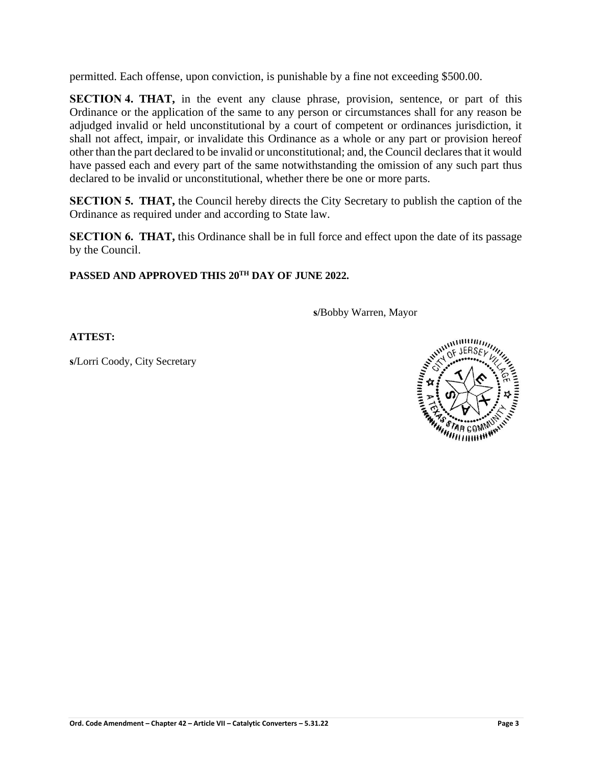permitted. Each offense, upon conviction, is punishable by a fine not exceeding \$500.00.

**SECTION 4. THAT,** in the event any clause phrase, provision, sentence, or part of this Ordinance or the application of the same to any person or circumstances shall for any reason be adjudged invalid or held unconstitutional by a court of competent or ordinances jurisdiction, it shall not affect, impair, or invalidate this Ordinance as a whole or any part or provision hereof other than the part declared to be invalid or unconstitutional; and, the Council declares that it would have passed each and every part of the same notwithstanding the omission of any such part thus declared to be invalid or unconstitutional, whether there be one or more parts.

**SECTION 5. THAT,** the Council hereby directs the City Secretary to publish the caption of the Ordinance as required under and according to State law.

**SECTION 6. THAT,** this Ordinance shall be in full force and effect upon the date of its passage by the Council.

# **PASSED AND APPROVED THIS 20TH DAY OF JUNE 2022.**

**s/**Bobby Warren, Mayor

**ATTEST:**

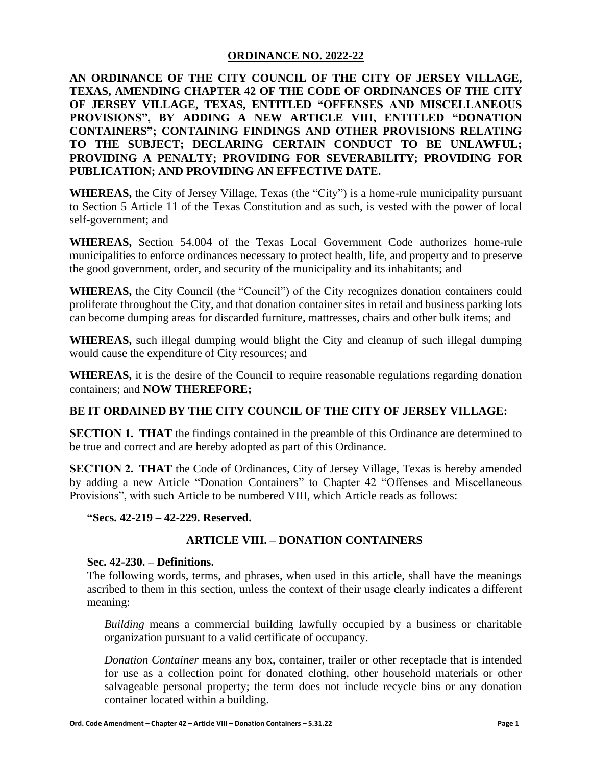**AN ORDINANCE OF THE CITY COUNCIL OF THE CITY OF JERSEY VILLAGE, TEXAS, AMENDING CHAPTER 42 OF THE CODE OF ORDINANCES OF THE CITY OF JERSEY VILLAGE, TEXAS, ENTITLED "OFFENSES AND MISCELLANEOUS PROVISIONS", BY ADDING A NEW ARTICLE VIII, ENTITLED "DONATION CONTAINERS"; CONTAINING FINDINGS AND OTHER PROVISIONS RELATING TO THE SUBJECT; DECLARING CERTAIN CONDUCT TO BE UNLAWFUL; PROVIDING A PENALTY; PROVIDING FOR SEVERABILITY; PROVIDING FOR PUBLICATION; AND PROVIDING AN EFFECTIVE DATE.**

**WHEREAS,** the City of Jersey Village, Texas (the "City") is a home-rule municipality pursuant to Section 5 Article 11 of the Texas Constitution and as such, is vested with the power of local self-government; and

**WHEREAS,** Section 54.004 of the Texas Local Government Code authorizes home-rule municipalities to enforce ordinances necessary to protect health, life, and property and to preserve the good government, order, and security of the municipality and its inhabitants; and

**WHEREAS,** the City Council (the "Council") of the City recognizes donation containers could proliferate throughout the City, and that donation container sites in retail and business parking lots can become dumping areas for discarded furniture, mattresses, chairs and other bulk items; and

**WHEREAS,** such illegal dumping would blight the City and cleanup of such illegal dumping would cause the expenditure of City resources; and

**WHEREAS,** it is the desire of the Council to require reasonable regulations regarding donation containers; and **NOW THEREFORE;**

# **BE IT ORDAINED BY THE CITY COUNCIL OF THE CITY OF JERSEY VILLAGE:**

**SECTION 1. THAT** the findings contained in the preamble of this Ordinance are determined to be true and correct and are hereby adopted as part of this Ordinance.

**SECTION 2. THAT** the Code of Ordinances, City of Jersey Village, Texas is hereby amended by adding a new Article "Donation Containers" to Chapter 42 "Offenses and Miscellaneous Provisions", with such Article to be numbered VIII, which Article reads as follows:

**"Secs. 42-219 – 42-229. Reserved.**

# **ARTICLE VIII. – DONATION CONTAINERS**

### **Sec. 42-230. – Definitions.**

The following words, terms, and phrases, when used in this article, shall have the meanings ascribed to them in this section, unless the context of their usage clearly indicates a different meaning:

*Building* means a commercial building lawfully occupied by a business or charitable organization pursuant to a valid certificate of occupancy.

*Donation Container* means any box, container, trailer or other receptacle that is intended for use as a collection point for donated clothing, other household materials or other salvageable personal property; the term does not include recycle bins or any donation container located within a building.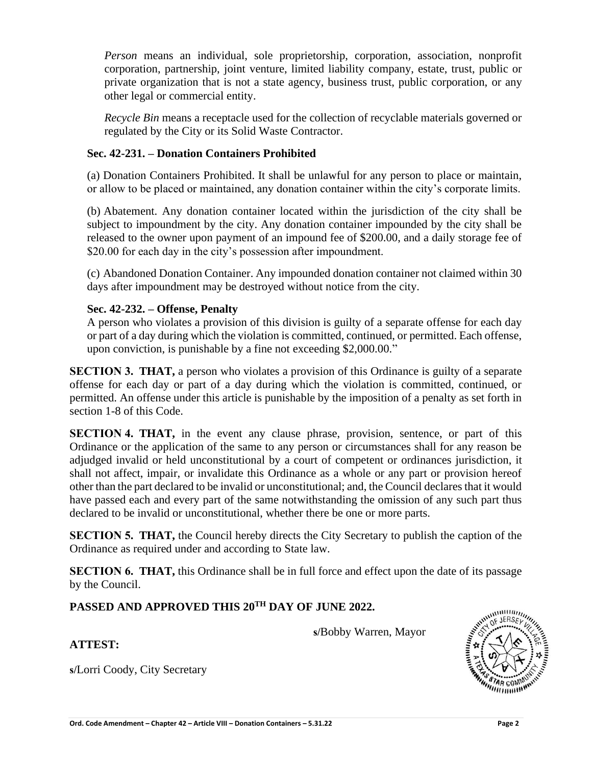*Person* means an individual, sole proprietorship, corporation, association, nonprofit corporation, partnership, joint venture, limited liability company, estate, trust, public or private organization that is not a state agency, business trust, public corporation, or any other legal or commercial entity.

*Recycle Bin* means a receptacle used for the collection of recyclable materials governed or regulated by the City or its Solid Waste Contractor.

### **Sec. 42-231. – Donation Containers Prohibited**

(a) Donation Containers Prohibited. It shall be unlawful for any person to place or maintain, or allow to be placed or maintained, any donation container within the city's corporate limits.

(b) Abatement. Any donation container located within the jurisdiction of the city shall be subject to impoundment by the city. Any donation container impounded by the city shall be released to the owner upon payment of an impound fee of \$200.00, and a daily storage fee of \$20.00 for each day in the city's possession after impoundment.

(c) Abandoned Donation Container. Any impounded donation container not claimed within 30 days after impoundment may be destroyed without notice from the city.

### **Sec. 42-232. – Offense, Penalty**

A person who violates a provision of this division is guilty of a separate offense for each day or part of a day during which the violation is committed, continued, or permitted. Each offense, upon conviction, is punishable by a fine not exceeding \$2,000.00."

**SECTION 3. THAT,** a person who violates a provision of this Ordinance is guilty of a separate offense for each day or part of a day during which the violation is committed, continued, or permitted. An offense under this article is punishable by the imposition of a penalty as set forth in section 1-8 of this Code.

**SECTION 4. THAT,** in the event any clause phrase, provision, sentence, or part of this Ordinance or the application of the same to any person or circumstances shall for any reason be adjudged invalid or held unconstitutional by a court of competent or ordinances jurisdiction, it shall not affect, impair, or invalidate this Ordinance as a whole or any part or provision hereof other than the part declared to be invalid or unconstitutional; and, the Council declares that it would have passed each and every part of the same notwithstanding the omission of any such part thus declared to be invalid or unconstitutional, whether there be one or more parts.

**SECTION 5. THAT,** the Council hereby directs the City Secretary to publish the caption of the Ordinance as required under and according to State law.

**SECTION 6. THAT,** this Ordinance shall be in full force and effect upon the date of its passage by the Council.

# **PASSED AND APPROVED THIS 20TH DAY OF JUNE 2022.**

**s/**Bobby Warren, Mayor



# **ATTEST:**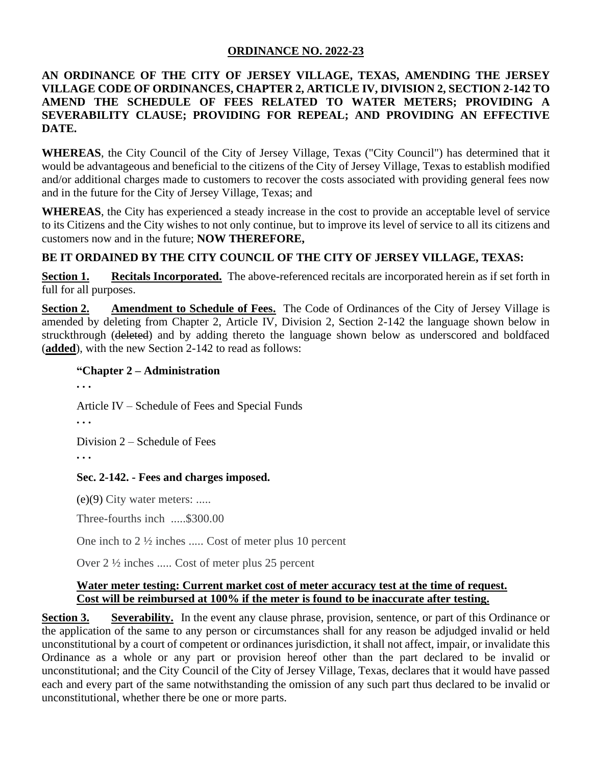# **AN ORDINANCE OF THE CITY OF JERSEY VILLAGE, TEXAS, AMENDING THE JERSEY VILLAGE CODE OF ORDINANCES, CHAPTER 2, ARTICLE IV, DIVISION 2, SECTION 2-142 TO AMEND THE SCHEDULE OF FEES RELATED TO WATER METERS; PROVIDING A SEVERABILITY CLAUSE; PROVIDING FOR REPEAL; AND PROVIDING AN EFFECTIVE DATE.**

**WHEREAS**, the City Council of the City of Jersey Village, Texas ("City Council") has determined that it would be advantageous and beneficial to the citizens of the City of Jersey Village, Texas to establish modified and/or additional charges made to customers to recover the costs associated with providing general fees now and in the future for the City of Jersey Village, Texas; and

**WHEREAS**, the City has experienced a steady increase in the cost to provide an acceptable level of service to its Citizens and the City wishes to not only continue, but to improve its level of service to all its citizens and customers now and in the future; **NOW THEREFORE,**

# **BE IT ORDAINED BY THE CITY COUNCIL OF THE CITY OF JERSEY VILLAGE, TEXAS:**

**Section 1. Recitals Incorporated.** The above-referenced recitals are incorporated herein as if set forth in full for all purposes.

**Section 2. Amendment to Schedule of Fees.** The Code of Ordinances of the City of Jersey Village is amended by deleting from Chapter 2, Article IV, Division 2, Section 2-142 the language shown below in struckthrough (deleted) and by adding thereto the language shown below as underscored and boldfaced (**added**), with the new Section 2-142 to read as follows:

### **"Chapter 2 – Administration**

**. . .** 

Article IV – Schedule of Fees and Special Funds

**. . .**

Division 2 – Schedule of Fees

**. . .**

# **Sec. 2-142. - [Fees and charges imposed.](javascript:void(0))**

(e)(9) City water meters: .....

Three-fourths inch .....\$300.00

One inch to 2 ½ inches ..... Cost of meter plus 10 percent

Over 2 ½ inches ..... Cost of meter plus 25 percent

### **Water meter testing: Current market cost of meter accuracy test at the time of request. Cost will be reimbursed at 100% if the meter is found to be inaccurate after testing.**

**Section 3. Severability.** In the event any clause phrase, provision, sentence, or part of this Ordinance or the application of the same to any person or circumstances shall for any reason be adjudged invalid or held unconstitutional by a court of competent or ordinances jurisdiction, it shall not affect, impair, or invalidate this Ordinance as a whole or any part or provision hereof other than the part declared to be invalid or unconstitutional; and the City Council of the City of Jersey Village, Texas, declares that it would have passed each and every part of the same notwithstanding the omission of any such part thus declared to be invalid or unconstitutional, whether there be one or more parts.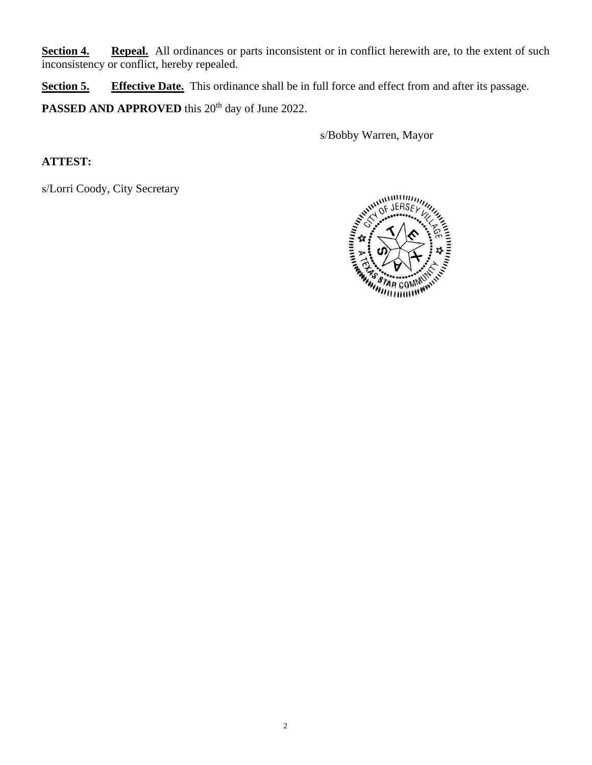**Section 4. Repeal.** All ordinances or parts inconsistent or in conflict herewith are, to the extent of such inconsistency or conflict, hereby repealed.

**Section 5. Effective Date.** This ordinance shall be in full force and effect from and after its passage. PASSED AND APPROVED this 20<sup>th</sup> day of June 2022.

s/Bobby Warren, Mayor

**ATTEST:**